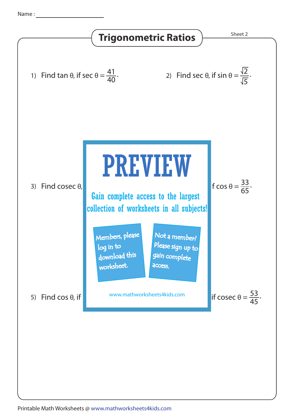